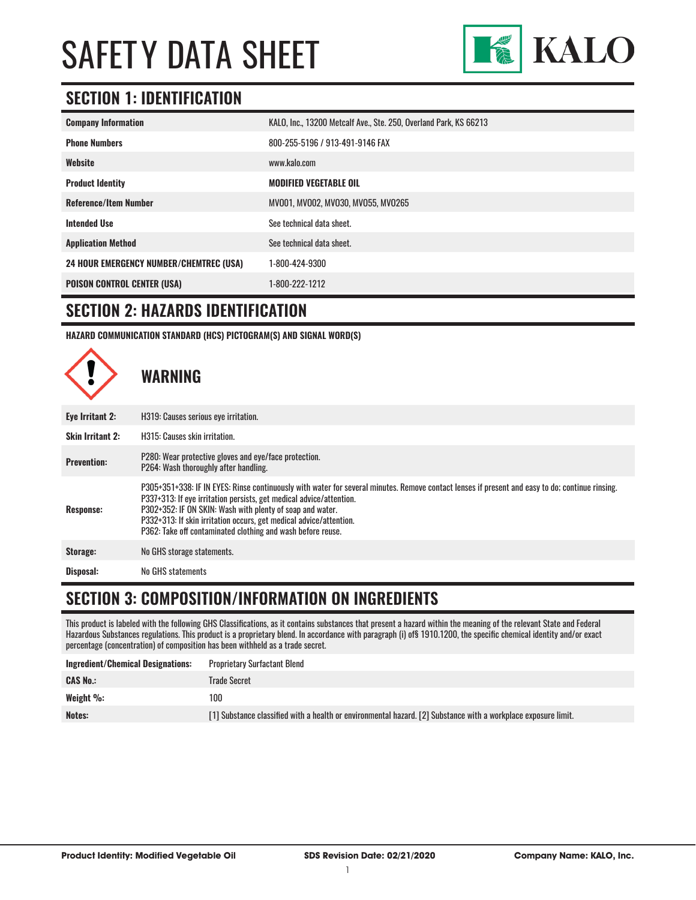

### **SECTION 1: IDENTIFICATION**

| <b>Company Information</b>                     | KALO, Inc., 13200 Metcalf Ave., Ste. 250, Overland Park, KS 66213 |
|------------------------------------------------|-------------------------------------------------------------------|
| <b>Phone Numbers</b>                           | 800-255-5196 / 913-491-9146 FAX                                   |
| Website                                        | www.kalo.com                                                      |
| <b>Product Identity</b>                        | <b>MODIFIED VEGETABLE OIL</b>                                     |
| <b>Reference/Item Number</b>                   | MV001, MV002, MV030, MV055, MV0265                                |
| <b>Intended Use</b>                            | See technical data sheet.                                         |
| <b>Application Method</b>                      | See technical data sheet.                                         |
| <b>24 HOUR EMERGENCY NUMBER/CHEMTREC (USA)</b> | 1-800-424-9300                                                    |
| <b>POISON CONTROL CENTER (USA)</b>             | 1-800-222-1212                                                    |

#### **SECTION 2: HAZARDS IDENTIFICATION**

**HAZARD COMMUNICATION STANDARD (HCS) PICTOGRAM(S) AND SIGNAL WORD(S)**



#### **SECTION 3: COMPOSITION/INFORMATION ON INGREDIENTS**

This product is labeled with the following GHS Classifications, as it contains substances that present a hazard within the meaning of the relevant State and Federal Hazardous Substances regulations. This product is a proprietary blend. In accordance with paragraph (i) of§ 1910.1200, the specific chemical identity and/or exact percentage (concentration) of composition has been withheld as a trade secret.

| Ingredient/Chemical Designations: | <b>Proprietary Surfactant Blend</b>                                                                            |
|-----------------------------------|----------------------------------------------------------------------------------------------------------------|
| <b>CAS No.:</b>                   | Trade Secret                                                                                                   |
| Weight $\%$ :                     | 100                                                                                                            |
| Notes:                            | [1] Substance classified with a health or environmental hazard. [2] Substance with a workplace exposure limit. |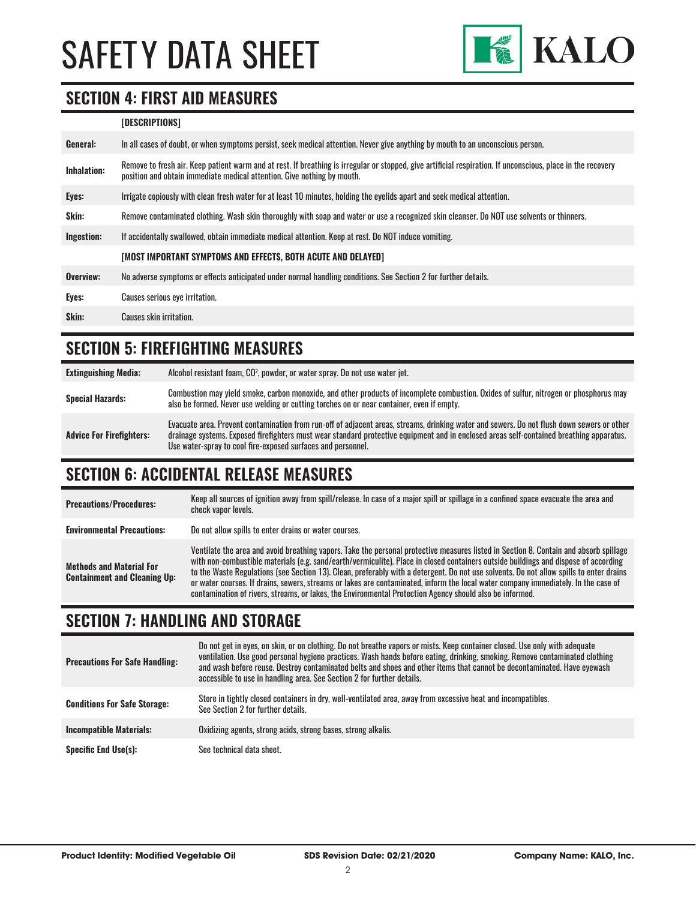

#### **SECTION 4: FIRST AID MEASURES**

#### **[DESCRIPTIONS]**

| Remove to fresh air. Keep patient warm and at rest. If breathing is irregular or stopped, give artificial respiration. If unconscious, place in the recovery<br><b>Inhalation:</b><br>position and obtain immediate medical attention. Give nothing by mouth. |  |
|---------------------------------------------------------------------------------------------------------------------------------------------------------------------------------------------------------------------------------------------------------------|--|
| Irrigate copiously with clean fresh water for at least 10 minutes, holding the eyelids apart and seek medical attention.<br>Eyes:                                                                                                                             |  |
| <b>Skin:</b><br>Remove contaminated clothing. Wash skin thoroughly with soap and water or use a recognized skin cleanser. Do NOT use solvents or thinners.                                                                                                    |  |
| Ingestion:<br>If accidentally swallowed, obtain immediate medical attention. Keep at rest. Do NOT induce vomiting.                                                                                                                                            |  |
| [MOST IMPORTANT SYMPTOMS AND EFFECTS, BOTH ACUTE AND DELAYED]                                                                                                                                                                                                 |  |
| Overview:<br>No adverse symptoms or effects anticipated under normal handling conditions. See Section 2 for further details.                                                                                                                                  |  |
| Eyes:<br>Causes serious eye irritation.                                                                                                                                                                                                                       |  |
| Skin:<br>Causes skin irritation.                                                                                                                                                                                                                              |  |

#### **SECTION 5: FIREFIGHTING MEASURES**

| <b>Extinguishing Media:</b>     | Alcohol resistant foam, CO <sup>2</sup> , powder, or water spray. Do not use water jet.                                                                                                                                                                                                                                                                |
|---------------------------------|--------------------------------------------------------------------------------------------------------------------------------------------------------------------------------------------------------------------------------------------------------------------------------------------------------------------------------------------------------|
| <b>Special Hazards:</b>         | Combustion may yield smoke, carbon monoxide, and other products of incomplete combustion. Oxides of sulfur, nitrogen or phosphorus may<br>also be formed. Never use welding or cutting torches on or near container, even if empty.                                                                                                                    |
| <b>Advice For Firefighters:</b> | Evacuate area. Prevent contamination from run-off of adjacent areas, streams, drinking water and sewers. Do not flush down sewers or other<br>drainage systems. Exposed firefighters must wear standard protective equipment and in enclosed areas self-contained breathing apparatus.<br>Use water-spray to cool fire-exposed surfaces and personnel. |

#### **SECTION 6: ACCIDENTAL RELEASE MEASURES**

| <b>Precautions/Procedures:</b>                                         | Keep all sources of ignition away from spill/release. In case of a major spill or spillage in a confined space evacuate the area and<br>check vapor levels.                                                                                                                                                                                                                                                                                                                                                                                                                                                                                                               |
|------------------------------------------------------------------------|---------------------------------------------------------------------------------------------------------------------------------------------------------------------------------------------------------------------------------------------------------------------------------------------------------------------------------------------------------------------------------------------------------------------------------------------------------------------------------------------------------------------------------------------------------------------------------------------------------------------------------------------------------------------------|
| <b>Environmental Precautions:</b>                                      | Do not allow spills to enter drains or water courses.                                                                                                                                                                                                                                                                                                                                                                                                                                                                                                                                                                                                                     |
| <b>Methods and Material For</b><br><b>Containment and Cleaning Up:</b> | Ventilate the area and avoid breathing vapors. Take the personal protective measures listed in Section 8. Contain and absorb spillage<br>with non-combustible materials (e.g. sand/earth/vermiculite). Place in closed containers outside buildings and dispose of according<br>to the Waste Regulations (see Section 13). Clean, preferably with a detergent. Do not use solvents. Do not allow spills to enter drains<br>or water courses. If drains, sewers, streams or lakes are contaminated, inform the local water company immediately. In the case of<br>contamination of rivers, streams, or lakes, the Environmental Protection Agency should also be informed. |

#### **SECTION 7: HANDLING AND STORAGE**

| <b>Precautions For Safe Handling:</b> | Do not get in eyes, on skin, or on clothing. Do not breathe vapors or mists. Keep container closed. Use only with adequate<br>ventilation. Use good personal hygiene practices. Wash hands before eating, drinking, smoking. Remove contaminated clothing<br>and wash before reuse. Destrov contaminated belts and shoes and other items that cannot be decontaminated. Have evewash<br>accessible to use in handling area. See Section 2 for further details. |
|---------------------------------------|----------------------------------------------------------------------------------------------------------------------------------------------------------------------------------------------------------------------------------------------------------------------------------------------------------------------------------------------------------------------------------------------------------------------------------------------------------------|
| <b>Conditions For Safe Storage:</b>   | Store in tightly closed containers in dry, well-ventilated area, away from excessive heat and incompatibles.<br>See Section 2 for further details.                                                                                                                                                                                                                                                                                                             |
| <b>Incompatible Materials:</b>        | Oxidizing agents, strong acids, strong bases, strong alkalis.                                                                                                                                                                                                                                                                                                                                                                                                  |
| <b>Specific End Use(s):</b>           | See technical data sheet.                                                                                                                                                                                                                                                                                                                                                                                                                                      |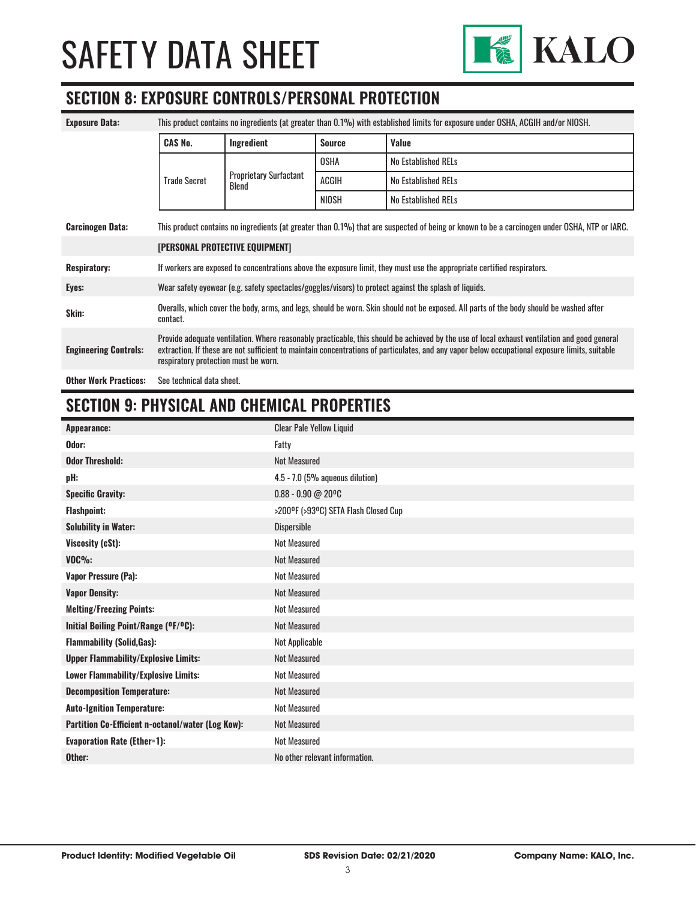

#### **SECTION 8: EXPOSURE CONTROLS/PERSONAL PROTECTION**

| <b>Exposure Data:</b>                                                                                                                                                   |                                                                                                                                                                                                                                                                                                                                        |                                        |               | This product contains no ingredients (at greater than 0.1%) with established limits for exposure under OSHA, ACGIH and/or NIOSH. |
|-------------------------------------------------------------------------------------------------------------------------------------------------------------------------|----------------------------------------------------------------------------------------------------------------------------------------------------------------------------------------------------------------------------------------------------------------------------------------------------------------------------------------|----------------------------------------|---------------|----------------------------------------------------------------------------------------------------------------------------------|
|                                                                                                                                                                         | <b>CAS No.</b>                                                                                                                                                                                                                                                                                                                         | Ingredient                             | <b>Source</b> | Value                                                                                                                            |
|                                                                                                                                                                         |                                                                                                                                                                                                                                                                                                                                        | <b>Proprietary Surfactant</b><br>Blend | <b>OSHA</b>   | No Established RELs                                                                                                              |
|                                                                                                                                                                         | <b>Trade Secret</b>                                                                                                                                                                                                                                                                                                                    |                                        | ACGIH         | <b>No Established RELs</b>                                                                                                       |
|                                                                                                                                                                         |                                                                                                                                                                                                                                                                                                                                        |                                        | NIOSH         | No Established RELs                                                                                                              |
| This product contains no ingredients (at greater than 0.1%) that are suspected of being or known to be a carcinogen under OSHA, NTP or IARC.<br><b>Carcinogen Data:</b> |                                                                                                                                                                                                                                                                                                                                        |                                        |               |                                                                                                                                  |
|                                                                                                                                                                         | [PERSONAL PROTECTIVE EQUIPMENT]                                                                                                                                                                                                                                                                                                        |                                        |               |                                                                                                                                  |
| <b>Respiratory:</b>                                                                                                                                                     | If workers are exposed to concentrations above the exposure limit, they must use the appropriate certified respirators.                                                                                                                                                                                                                |                                        |               |                                                                                                                                  |
| Eyes:                                                                                                                                                                   | Wear safety eyewear (e.g. safety spectacles/goggles/visors) to protect against the splash of liquids.                                                                                                                                                                                                                                  |                                        |               |                                                                                                                                  |
| Skin:                                                                                                                                                                   | Overalls, which cover the body, arms, and legs, should be worn. Skin should not be exposed. All parts of the body should be washed after<br>contact.                                                                                                                                                                                   |                                        |               |                                                                                                                                  |
| <b>Engineering Controls:</b>                                                                                                                                            | Provide adequate ventilation. Where reasonably practicable, this should be achieved by the use of local exhaust ventilation and good general<br>extraction. If these are not sufficient to maintain concentrations of particulates, and any vapor below occupational exposure limits, suitable<br>respiratory protection must be worn. |                                        |               |                                                                                                                                  |
| <b>Other Work Practices:</b>                                                                                                                                            | See technical data sheet.                                                                                                                                                                                                                                                                                                              |                                        |               |                                                                                                                                  |

#### **SECTION 9: PHYSICAL AND CHEMICAL PROPERTIES**

| Appearance:                                       | <b>Clear Pale Yellow Liquid</b>      |
|---------------------------------------------------|--------------------------------------|
| Odor:                                             | Fatty                                |
| <b>Odor Threshold:</b>                            | <b>Not Measured</b>                  |
| pH:                                               | 4.5 - 7.0 (5% aqueous dilution)      |
| <b>Specific Gravity:</b>                          | $0.88 - 0.90 @ 20°C$                 |
| <b>Flashpoint:</b>                                | >200°F (>93°C) SETA Flash Closed Cup |
| <b>Solubility in Water:</b>                       | Dispersible                          |
| Viscosity (cSt):                                  | <b>Not Measured</b>                  |
| $VOC\%$ :                                         | <b>Not Measured</b>                  |
| <b>Vapor Pressure (Pa):</b>                       | <b>Not Measured</b>                  |
| <b>Vapor Density:</b>                             | <b>Not Measured</b>                  |
| <b>Melting/Freezing Points:</b>                   | <b>Not Measured</b>                  |
| Initial Boiling Point/Range (°F/°C):              | <b>Not Measured</b>                  |
| <b>Flammability (Solid, Gas):</b>                 | Not Applicable                       |
| <b>Upper Flammability/Explosive Limits:</b>       | <b>Not Measured</b>                  |
| Lower Flammability/Explosive Limits:              | <b>Not Measured</b>                  |
| <b>Decomposition Temperature:</b>                 | <b>Not Measured</b>                  |
| <b>Auto-Ignition Temperature:</b>                 | <b>Not Measured</b>                  |
| Partition Co-Efficient n-octanol/water (Log Kow): | <b>Not Measured</b>                  |
| <b>Evaporation Rate (Ether=1):</b>                | <b>Not Measured</b>                  |
| Other:                                            | No other relevant information.       |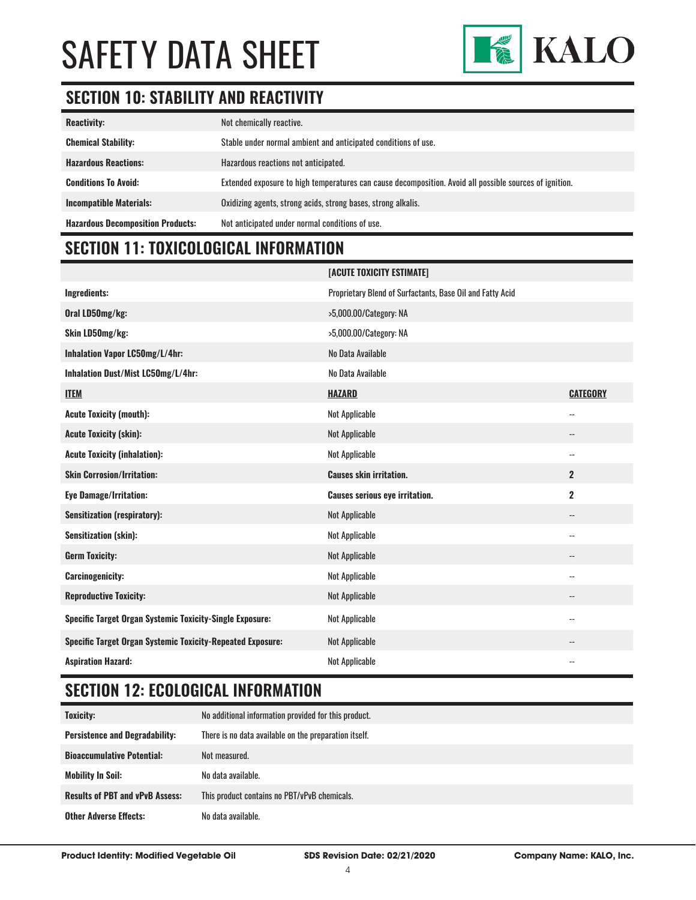

### **SECTION 10: STABILITY AND REACTIVITY**

| <b>Reactivity:</b>                       | Not chemically reactive.                                                                                |
|------------------------------------------|---------------------------------------------------------------------------------------------------------|
| <b>Chemical Stability:</b>               | Stable under normal ambient and anticipated conditions of use.                                          |
| <b>Hazardous Reactions:</b>              | Hazardous reactions not anticipated.                                                                    |
| <b>Conditions To Avoid:</b>              | Extended exposure to high temperatures can cause decomposition. Avoid all possible sources of ignition. |
| <b>Incompatible Materials:</b>           | Oxidizing agents, strong acids, strong bases, strong alkalis.                                           |
| <b>Hazardous Decomposition Products:</b> | Not anticipated under normal conditions of use.                                                         |

### **SECTION 11: TOXICOLOGICAL INFORMATION**

|                                                                 | [ACUTE TOXICITY ESTIMATE]                                 |                            |
|-----------------------------------------------------------------|-----------------------------------------------------------|----------------------------|
| Ingredients:                                                    | Proprietary Blend of Surfactants, Base Oil and Fatty Acid |                            |
| Oral LD50mg/kg:                                                 | >5,000.00/Category: NA                                    |                            |
| Skin LD50mg/kg:                                                 | >5,000.00/Category: NA                                    |                            |
| Inhalation Vapor LC50mg/L/4hr:                                  | No Data Available                                         |                            |
| Inhalation Dust/Mist LC50mg/L/4hr:                              | No Data Available                                         |                            |
| <b>ITEM</b>                                                     | <b>HAZARD</b>                                             | <b>CATEGORY</b>            |
| <b>Acute Toxicity (mouth):</b>                                  | <b>Not Applicable</b>                                     | $\overline{\phantom{a}}$   |
| <b>Acute Toxicity (skin):</b>                                   | <b>Not Applicable</b>                                     | $\overline{\phantom{a}}$   |
| <b>Acute Toxicity (inhalation):</b>                             | <b>Not Applicable</b>                                     | $\overline{\phantom{a}}$ . |
| <b>Skin Corrosion/Irritation:</b>                               | <b>Causes skin irritation.</b>                            | $\overline{2}$             |
| <b>Eye Damage/Irritation:</b>                                   | <b>Causes serious eye irritation.</b>                     | $\overline{2}$             |
| <b>Sensitization (respiratory):</b>                             | <b>Not Applicable</b>                                     | $\overline{\phantom{a}}$   |
| <b>Sensitization (skin):</b>                                    | <b>Not Applicable</b>                                     | $-$                        |
| <b>Germ Toxicity:</b>                                           | <b>Not Applicable</b>                                     | $\overline{\phantom{a}}$   |
| <b>Carcinogenicity:</b>                                         | <b>Not Applicable</b>                                     | $\overline{\phantom{a}}$ . |
| <b>Reproductive Toxicity:</b>                                   | <b>Not Applicable</b>                                     | $\overline{\phantom{a}}$   |
| <b>Specific Target Organ Systemic Toxicity-Single Exposure:</b> | <b>Not Applicable</b>                                     | $\overline{\phantom{a}}$ . |
| Specific Target Organ Systemic Toxicity-Repeated Exposure:      | <b>Not Applicable</b>                                     | $\overline{\phantom{a}}$   |
| <b>Aspiration Hazard:</b>                                       | <b>Not Applicable</b>                                     | $-$                        |

### **SECTION 12: ECOLOGICAL INFORMATION**

| <b>Toxicity:</b>                       | No additional information provided for this product.  |
|----------------------------------------|-------------------------------------------------------|
| <b>Persistence and Degradability:</b>  | There is no data available on the preparation itself. |
| <b>Bioaccumulative Potential:</b>      | Not measured.                                         |
| <b>Mobility In Soil:</b>               | No data available.                                    |
| <b>Results of PBT and vPvB Assess:</b> | This product contains no PBT/vPvB chemicals.          |
| <b>Other Adverse Effects:</b>          | No data available.                                    |